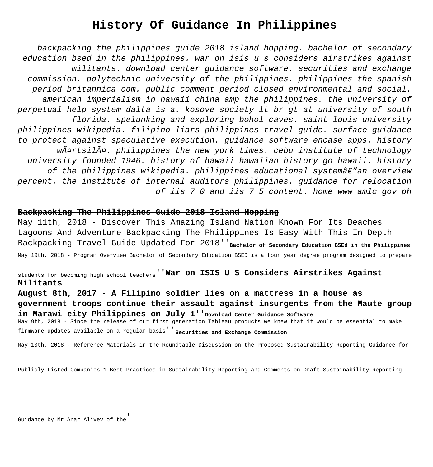# **History Of Guidance In Philippines**

backpacking the philippines guide 2018 island hopping. bachelor of secondary education bsed in the philippines. war on isis u s considers airstrikes against militants. download center guidance software. securities and exchange commission. polytechnic university of the philippines. philippines the spanish period britannica com. public comment period closed environmental and social. american imperialism in hawaii china amp the philippines. the university of perpetual help system dalta is a. kosove society lt br gt at university of south florida. spelunking and exploring bohol caves. saint louis university philippines wikipedia. filipino liars philippines travel guide. surface guidance to protect against speculative execution. guidance software encase apps. history wĤrtsilä. philippines the new york times. cebu institute of technology university founded 1946. history of hawaii hawaiian history go hawaii. history of the philippines wikipedia. philippines educational systemâ $\notin$ " an overview percent. the institute of internal auditors philippines. guidance for relocation of iis 7 0 and iis 7 5 content. home www amlc gov ph

# **Backpacking The Philippines Guide 2018 Island Hopping**

May 11th, 2018 - Discover This Amazing Island Nation Known For Its Beaches Lagoons And Adventure Backpacking The Philippines Is Easy With This In Depth Backpacking Travel Guide Updated For 2018''**Bachelor of Secondary Education BSEd in the Philippines** May 10th, 2018 - Program Overview Bachelor of Secondary Education BSED is a four year degree program designed to prepare

students for becoming high school teachers''**War on ISIS U S Considers Airstrikes Against Militants**

**August 8th, 2017 - A Filipino soldier lies on a mattress in a house as government troops continue their assault against insurgents from the Maute group in Marawi city Philippines on July 1**''**Download Center Guidance Software** May 9th, 2018 - Since the release of our first generation Tableau products we knew that it would be essential to make firmware updates available on a regular basis''**Securities and Exchange Commission**

May 10th, 2018 - Reference Materials in the Roundtable Discussion on the Proposed Sustainability Reporting Guidance for

Publicly Listed Companies 1 Best Practices in Sustainability Reporting and Comments on Draft Sustainability Reporting

Guidance by Mr Anar Aliyev of the'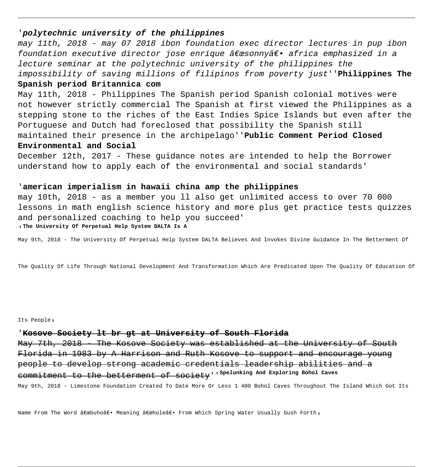# '**polytechnic university of the philippines**

may 11th, 2018 - may 07 2018 ibon foundation exec director lectures in pup ibon foundation executive director jose enrique  $\hat{a} \in \mathcal{C}$ esonny $\hat{a} \in \mathcal{C}$  africa emphasized in a lecture seminar at the polytechnic university of the philippines the impossibility of saving millions of filipinos from poverty just''**Philippines The**

# **Spanish period Britannica com**

May 11th, 2018 - Philippines The Spanish period Spanish colonial motives were not however strictly commercial The Spanish at first viewed the Philippines as a stepping stone to the riches of the East Indies Spice Islands but even after the Portuguese and Dutch had foreclosed that possibility the Spanish still maintained their presence in the archipelago''**Public Comment Period Closed Environmental and Social**

December 12th, 2017 - These guidance notes are intended to help the Borrower understand how to apply each of the environmental and social standards'

#### '**american imperialism in hawaii china amp the philippines**

may 10th, 2018 - as a member you ll also get unlimited access to over 70 000 lessons in math english science history and more plus get practice tests quizzes and personalized coaching to help you succeed'

'**The University Of Perpetual Help System DALTA Is A**

May 9th, 2018 - The University Of Perpetual Help System DALTA Believes And Invokes Divine Guidance In The Betterment Of

The Quality Of Life Through National Development And Transformation Which Are Predicated Upon The Quality Of Education Of

Its People,

#### '**Kosove Society lt br gt at University of South Florida**

May 7th, 2018 - The Kosove Society was established at the University of South Florida in 1983 by A Harrison and Ruth Kosove to support and encourage young people to develop strong academic credentials leadership abilities and a commitment to the betterment of society''**Spelunking And Exploring Bohol Caves**

May 9th, 2018 - Limestone Foundation Created To Date More Or Less 1 400 Bohol Caves Throughout The Island Which Got Its

Name From The Word "buho― Meaning "hole― From Which Spring Water Usually Gush Forth,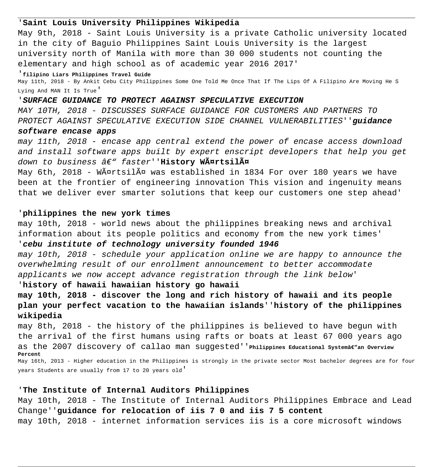### '**Saint Louis University Philippines Wikipedia**

May 9th, 2018 - Saint Louis University is a private Catholic university located in the city of Baguio Philippines Saint Louis University is the largest university north of Manila with more than 30 000 students not counting the elementary and high school as of academic year 2016 2017'

'**filipino Liars Philippines Travel Guide**

May 11th, 2018 - By Ankit Cebu City Philippines Some One Told Me Once That If The Lips Of A Filipino Are Moving He S Lying And MAN It Is True'

#### '**SURFACE GUIDANCE TO PROTECT AGAINST SPECULATIVE EXECUTION**

MAY 10TH, 2018 - DISCUSSES SURFACE GUIDANCE FOR CUSTOMERS AND PARTNERS TO PROTECT AGAINST SPECULATIVE EXECUTION SIDE CHANNEL VULNERABILITIES''**guidance**

#### **software encase apps**

may 11th, 2018 - encase app central extend the power of encase access download and install software apps built by expert enscript developers that help you get down to business â€" faster''**History WĤrtsilä** 

May 6th, 2018 - Wärtsilä was established in 1834 For over 180 years we have been at the frontier of engineering innovation This vision and ingenuity means that we deliver ever smarter solutions that keep our customers one step ahead'

#### '**philippines the new york times**

may 10th, 2018 - world news about the philippines breaking news and archival information about its people politics and economy from the new york times' '**cebu institute of technology university founded 1946**

may 10th, 2018 - schedule your application online we are happy to announce the overwhelming result of our enrollment announcement to better accommodate applicants we now accept advance registration through the link below'

#### '**history of hawaii hawaiian history go hawaii**

**may 10th, 2018 - discover the long and rich history of hawaii and its people plan your perfect vacation to the hawaiian islands**''**history of the philippines wikipedia**

may 8th, 2018 - the history of the philippines is believed to have begun with the arrival of the first humans using rafts or boats at least 67 000 years ago as the 2007 discovery of callao man suggested' 'Philippines Educational systemâe"an Overview **Percent** May 16th, 2013 - Higher education in the Philippines is strongly in the private sector Most bachelor degrees are for four

years Students are usually from 17 to 20 years old'

#### '**The Institute of Internal Auditors Philippines**

May 10th, 2018 - The Institute of Internal Auditors Philippines Embrace and Lead Change''**guidance for relocation of iis 7 0 and iis 7 5 content** may 10th, 2018 - internet information services iis is a core microsoft windows